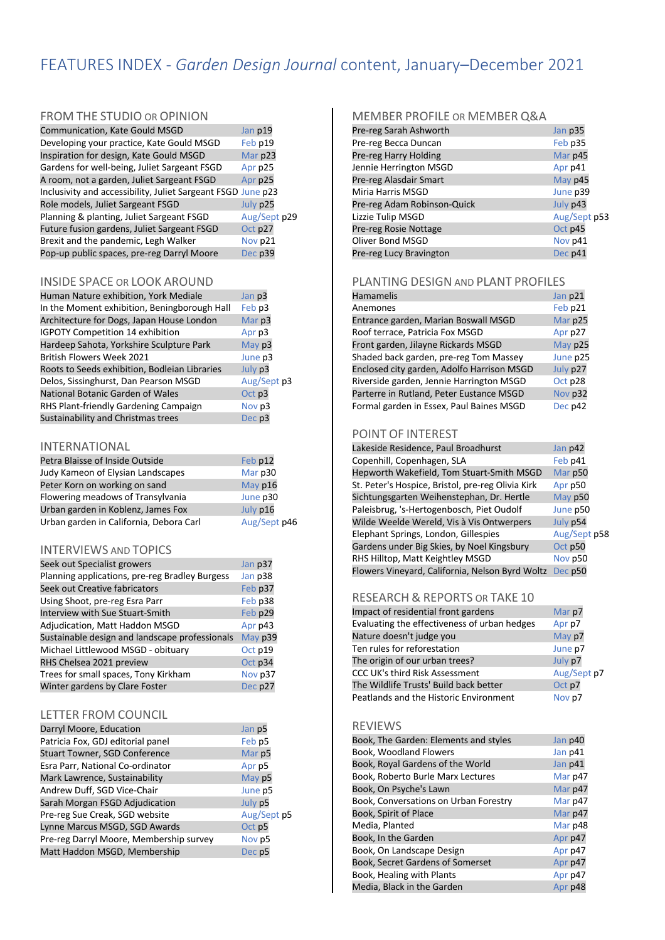# FEATURES INDEX - *Garden Design Journal* content, January–December 2021

#### FROM THE STUDIO OR OPINION

| Communication, Kate Gould MSGD                               | Jan p19      |
|--------------------------------------------------------------|--------------|
| Developing your practice, Kate Gould MSGD                    | Feb p19      |
| Inspiration for design, Kate Gould MSGD                      | Mar p23      |
| Gardens for well-being, Juliet Sargeant FSGD                 | Apr p25      |
| A room, not a garden, Juliet Sargeant FSGD                   | Apr p25      |
| Inclusivity and accessibility, Juliet Sargeant FSGD June p23 |              |
| Role models, Juliet Sargeant FSGD                            | July p25     |
| Planning & planting, Juliet Sargeant FSGD                    | Aug/Sept p29 |
| Future fusion gardens, Juliet Sargeant FSGD                  | Oct p27      |
| Brexit and the pandemic, Legh Walker                         | Nov p21      |
| Pop-up public spaces, pre-reg Darryl Moore                   | Dec p39      |

#### INSIDE SPACE OR LOOK AROUND

| Human Nature exhibition, York Mediale         | Jan p3      |
|-----------------------------------------------|-------------|
| In the Moment exhibition, Beningborough Hall  | Feb p3      |
| Architecture for Dogs, Japan House London     | Mar p3      |
| <b>IGPOTY Competition 14 exhibition</b>       | Apr p3      |
| Hardeep Sahota, Yorkshire Sculpture Park      | May p3      |
| <b>British Flowers Week 2021</b>              | June p3     |
| Roots to Seeds exhibition, Bodleian Libraries | July p3     |
| Delos, Sissinghurst, Dan Pearson MSGD         | Aug/Sept p3 |
| National Botanic Garden of Wales              | Oct p3      |
| RHS Plant-friendly Gardening Campaign         | Nov p3      |
| Sustainability and Christmas trees            | Dec p3      |
|                                               |             |

#### INTERNATIONAL

| Petra Blaisse of Inside Outside         | Feb p12      |
|-----------------------------------------|--------------|
| Judy Kameon of Elysian Landscapes       | Mar p30      |
| Peter Korn on working on sand           | May p16      |
| Flowering meadows of Transylvania       | June p30     |
| Urban garden in Koblenz, James Fox      | July p16     |
| Urban garden in California, Debora Carl | Aug/Sept p46 |

#### INTERVIEWS AND TOPICS

| Seek out Specialist growers                    | Jan p37 |
|------------------------------------------------|---------|
| Planning applications, pre-reg Bradley Burgess | Jan p38 |
| Seek out Creative fabricators                  | Feb p37 |
| Using Shoot, pre-reg Esra Parr                 | Feb p38 |
| <b>Interview with Sue Stuart-Smith</b>         | Feb p29 |
| Adjudication, Matt Haddon MSGD                 | Apr p43 |
| Sustainable design and landscape professionals | May p39 |
| Michael Littlewood MSGD - obituary             | Oct p19 |
| RHS Chelsea 2021 preview                       | Oct p34 |
| Trees for small spaces, Tony Kirkham           | Nov p37 |
| Winter gardens by Clare Foster                 | Dec p27 |

#### LETTER FROM COUNCIL

| Darryl Moore, Education                 | Jan p5      |
|-----------------------------------------|-------------|
| Patricia Fox, GDJ editorial panel       | Feb p5      |
| <b>Stuart Towner, SGD Conference</b>    | Mar p5      |
| Esra Parr, National Co-ordinator        | Apr p5      |
| Mark Lawrence, Sustainability           | May p5      |
| Andrew Duff, SGD Vice-Chair             | June p5     |
| Sarah Morgan FSGD Adjudication          | July p5     |
| Pre-reg Sue Creak, SGD website          | Aug/Sept p5 |
| Lynne Marcus MSGD, SGD Awards           | Oct p5      |
| Pre-reg Darryl Moore, Membership survey | Nov p5      |
| Matt Haddon MSGD, Membership            | Dec p5      |

#### MEMBER PROFILE OR MEMBER Q&A

| Pre-reg Sarah Ashworth      | Jan p35      |
|-----------------------------|--------------|
| Pre-reg Becca Duncan        | Feb p35      |
| Pre-reg Harry Holding       | Mar p45      |
| Jennie Herrington MSGD      | Apr p41      |
| Pre-reg Alasdair Smart      | May p45      |
| Miria Harris MSGD           | June p39     |
| Pre-reg Adam Robinson-Quick | July p43     |
| Lizzie Tulip MSGD           | Aug/Sept p53 |
| Pre-reg Rosie Nottage       | Oct p45      |
| Oliver Bond MSGD            | Nov p41      |
| Pre-reg Lucy Bravington     | Dec p41      |
|                             |              |

#### PLANTING DESIGN AND PLANT PROFILES

| Hamamelis                                  | Jan p21  |
|--------------------------------------------|----------|
| Anemones                                   | Feb p21  |
| Entrance garden, Marian Boswall MSGD       | Mar p25  |
| Roof terrace, Patricia Fox MSGD            | Apr p27  |
| Front garden, Jilayne Rickards MSGD        | May p25  |
| Shaded back garden, pre-reg Tom Massey     | June p25 |
| Enclosed city garden, Adolfo Harrison MSGD | July p27 |
| Riverside garden, Jennie Harrington MSGD   | Oct p28  |
| Parterre in Rutland, Peter Eustance MSGD   | Nov p32  |
| Formal garden in Essex, Paul Baines MSGD   | Dec p42  |

#### POINT OF INTEREST

| Lakeside Residence, Paul Broadhurst               | Jan p42      |
|---------------------------------------------------|--------------|
| Copenhill, Copenhagen, SLA                        | Feb p41      |
| Hepworth Wakefield, Tom Stuart-Smith MSGD         | Mar p50      |
| St. Peter's Hospice, Bristol, pre-reg Olivia Kirk | Apr p50      |
| Sichtungsgarten Weihenstephan, Dr. Hertle         | May p50      |
| Paleisbrug, 's-Hertogenbosch, Piet Oudolf         | June p50     |
| Wilde Weelde Wereld, Vis à Vis Ontwerpers         | July p54     |
| Elephant Springs, London, Gillespies              | Aug/Sept p58 |
| Gardens under Big Skies, by Noel Kingsbury        | Oct p50      |
| RHS Hilltop, Matt Keightley MSGD                  | Nov p50      |
| Flowers Vineyard, California, Nelson Byrd Woltz   | Dec p50      |

#### RESEARCH & REPORTS OR TAKE 10

| Impact of residential front gardens          | Mar p7      |
|----------------------------------------------|-------------|
| Evaluating the effectiveness of urban hedges | Apr p7      |
| Nature doesn't judge you                     | May p7      |
| Ten rules for reforestation                  | June p7     |
| The origin of our urban trees?               | July p7     |
| CCC UK's third Risk Assessment               | Aug/Sept p7 |
| The Wildlife Trusts' Build back better       | Oct p7      |
| Peatlands and the Historic Environment       | Nov p7      |

#### REVIEWS

| Book, The Garden: Elements and styles | Jan p40 |
|---------------------------------------|---------|
| Book, Woodland Flowers                | Jan p41 |
| Book, Royal Gardens of the World      | Jan p41 |
| Book, Roberto Burle Marx Lectures     | Mar p47 |
| Book, On Psyche's Lawn                | Mar p47 |
| Book, Conversations on Urban Forestry | Mar p47 |
| Book, Spirit of Place                 | Mar p47 |
| Media, Planted                        | Mar p48 |
| Book, In the Garden                   | Apr p47 |
| Book, On Landscape Design             | Apr p47 |
| Book, Secret Gardens of Somerset      | Apr p47 |
| Book, Healing with Plants             | Apr p47 |
| Media, Black in the Garden            | Apr p48 |
|                                       |         |